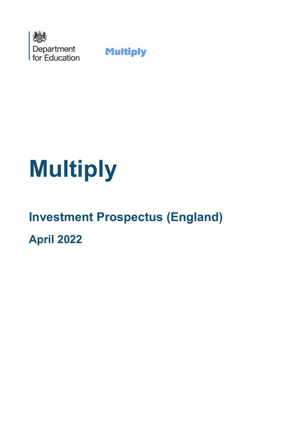

**Multiply** 

# **Multiply**

## **Investment Prospectus (England)**

**April 2022**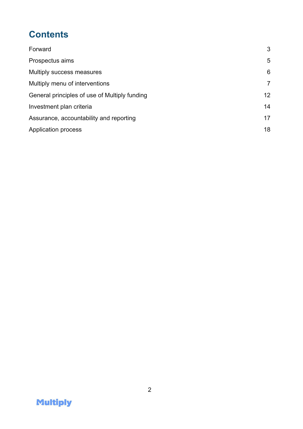## **Contents**

| Forward                                       | 3               |
|-----------------------------------------------|-----------------|
| Prospectus aims                               | 5               |
| Multiply success measures                     | 6               |
| Multiply menu of interventions                | $\overline{7}$  |
| General principles of use of Multiply funding | 12 <sup>2</sup> |
| Investment plan criteria                      | 14              |
| Assurance, accountability and reporting       | 17              |
| Application process                           | 18              |

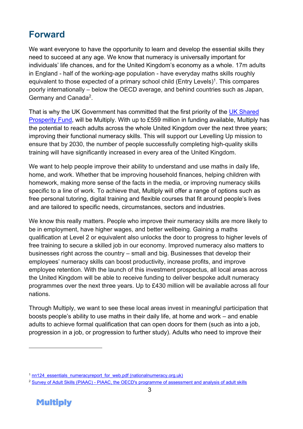## <span id="page-2-0"></span>**Forward**

We want everyone to have the opportunity to learn and develop the essential skills they need to succeed at any age. We know that numeracy is universally important for individuals' life chances, and for the United Kingdom's economy as a whole. 17m adults in England - half of the working-age population - have everyday maths skills roughly equivalent to those expected of a primary school child (Entry Levels)<sup>1</sup>. This compares poorly internationally – below the OECD average, and behind countries such as Japan, Germany and Canada<sup>2</sup>.

That is why the UK Government has committed that the first priority of the UK Shared [Prosperity Fund,](https://www.gov.uk/government/publications/uk-shared-prosperity-fund-prospectus) will be Multiply. With up to £559 million in funding available, Multiply has the potential to reach adults across the whole United Kingdom over the next three years; improving their functional numeracy skills. This will support our Levelling Up mission to ensure that by 2030, the number of people successfully completing high-quality skills training will have significantly increased in every area of the United Kingdom.

We want to help people improve their ability to understand and use maths in daily life, home, and work. Whether that be improving household finances, helping children with homework, making more sense of the facts in the media, or improving numeracy skills specific to a line of work. To achieve that, Multiply will offer a range of options such as free personal tutoring, digital training and flexible courses that fit around people's lives and are tailored to specific needs, circumstances, sectors and industries.

We know this really matters. People who improve their numeracy skills are more likely to be in employment, have higher wages, and better wellbeing. Gaining a maths qualification at Level 2 or equivalent also unlocks the door to progress to higher levels of free training to secure a skilled job in our economy. Improved numeracy also matters to businesses right across the country – small and big. Businesses that develop their employees' numeracy skills can boost productivity, increase profits, and improve employee retention. With the launch of this investment prospectus, all local areas across the United Kingdom will be able to receive funding to deliver bespoke adult numeracy programmes over the next three years. Up to £430 million will be available across all four nations.

Through Multiply, we want to see these local areas invest in meaningful participation that boosts people's ability to use maths in their daily life, at home and work – and enable adults to achieve formal qualification that can open doors for them (such as into a job, progression in a job, or progression to further study). Adults who need to improve their

<sup>2</sup> Survey of Adult Skills (PIAAC) - [PIAAC, the OECD's programme of assessment and analysis of adult skills](https://www.oecd.org/skills/piaac/)



<sup>&</sup>lt;sup>1</sup> nn124 essentials\_numeracyreport\_for\_web.pdf (nationalnumeracy.org.uk)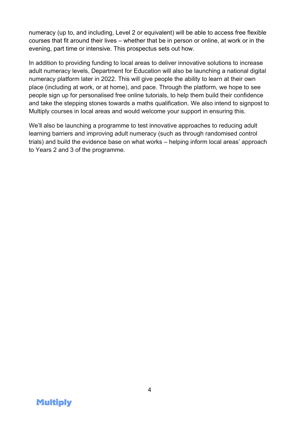numeracy (up to, and including, Level 2 or equivalent) will be able to access free flexible courses that fit around their lives – whether that be in person or online, at work or in the evening, part time or intensive. This prospectus sets out how.

In addition to providing funding to local areas to deliver innovative solutions to increase adult numeracy levels, Department for Education will also be launching a national digital numeracy platform later in 2022. This will give people the ability to learn at their own place (including at work, or at home), and pace. Through the platform, we hope to see people sign up for personalised free online tutorials, to help them build their confidence and take the stepping stones towards a maths qualification. We also intend to signpost to Multiply courses in local areas and would welcome your support in ensuring this.

We'll also be launching a programme to test innovative approaches to reducing adult learning barriers and improving adult numeracy (such as through randomised control trials) and build the evidence base on what works – helping inform local areas' approach to Years 2 and 3 of the programme.

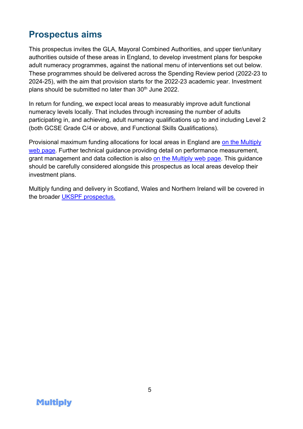### <span id="page-4-0"></span>**Prospectus aims**

This prospectus invites the GLA, Mayoral Combined Authorities, and upper tier/unitary authorities outside of these areas in England, to develop investment plans for bespoke adult numeracy programmes, against the national menu of interventions set out below. These programmes should be delivered across the Spending Review period (2022-23 to 2024-25), with the aim that provision starts for the 2022-23 academic year. Investment plans should be submitted no later than  $30<sup>th</sup>$  June 2022.

In return for funding, we expect local areas to measurably improve adult functional numeracy levels locally. That includes through increasing the number of adults participating in, and achieving, adult numeracy qualifications up to and including Level 2 (both GCSE Grade C/4 or above, and Functional Skills Qualifications).

Provisional maximum funding allocations for local areas in England are [on the Multiply](https://www.gov.uk/government/publications/multiply-funding-available-to-improve-numeracy-skills.)  [web page.](https://www.gov.uk/government/publications/multiply-funding-available-to-improve-numeracy-skills.) Further technical guidance providing detail on performance measurement, grant management and data collection is also [on the Multiply web page.](https://www.gov.uk/government/publications/multiply-funding-available-to-improve-numeracy-skills.) This guidance should be carefully considered alongside this prospectus as local areas develop their investment plans.

Multiply funding and delivery in Scotland, Wales and Northern Ireland will be covered in the broader [UKSPF prospectus.](https://www.gov.uk/government/publications/uk-shared-prosperity-fund-prospectus)

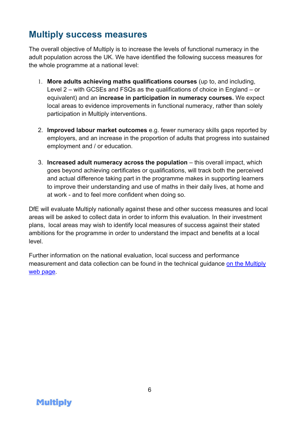## <span id="page-5-0"></span>**Multiply success measures**

The overall objective of Multiply is to increase the levels of functional numeracy in the adult population across the UK. We have identified the following success measures for the whole programme at a national level:

- 1. **More adults achieving maths qualifications courses** (up to, and including, Level 2 – with GCSEs and FSQs as the qualifications of choice in England – or equivalent) and an **increase in participation in numeracy courses.** We expect local areas to evidence improvements in functional numeracy, rather than solely participation in Multiply interventions.
- 2. **Improved labour market outcomes** e.g. fewer numeracy skills gaps reported by employers, and an increase in the proportion of adults that progress into sustained employment and / or education.
- 3. **Increased adult numeracy across the population** this overall impact, which goes beyond achieving certificates or qualifications, will track both the perceived and actual difference taking part in the programme makes in supporting learners to improve their understanding and use of maths in their daily lives, at home and at work - and to feel more confident when doing so.

DfE will evaluate Multiply nationally against these and other success measures and local areas will be asked to collect data in order to inform this evaluation. In their investment plans, local areas may wish to identify local measures of success against their stated ambitions for the programme in order to understand the impact and benefits at a local level.

Further information on the national evaluation, local success and performance measurement and data collection can be found in the technical guidance on the Multiply [web page.](https://www.gov.uk/government/publications/multiply-funding-available-to-improve-numeracy-skills.)

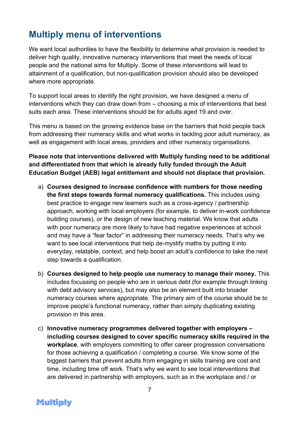## <span id="page-6-0"></span>**Multiply menu of interventions**

We want local authorities to have the flexibility to determine what provision is needed to deliver high quality, innovative numeracy interventions that meet the needs of local people and the national aims for Multiply. Some of these interventions will lead to attainment of a qualification, but non-qualification provision should also be developed where more appropriate.

To support local areas to identify the right provision, we have designed a menu of interventions which they can draw down from – choosing a mix of interventions that best suits each area. These interventions should be for adults aged 19 and over.

This menu is based on the growing evidence base on the barriers that hold people back from addressing their numeracy skills and what works in tackling poor adult numeracy, as well as engagement with local areas, providers and other numeracy organisations.

**Please note that interventions delivered with Multiply funding need to be additional and differentiated from that which is already fully funded through the Adult Education Budget (AEB) legal entitlement and should not displace that provision.** 

- a) **Courses designed to increase confidence with numbers for those needing the first steps towards formal numeracy qualifications.** This includes using best practice to engage new learners such as a cross-agency / partnership approach, working with local employers (for example, to deliver in-work confidence building courses), or the design of new teaching material. We know that adults with poor numeracy are more likely to have had negative experiences at school and may have a "fear factor" in addressing their numeracy needs. That's why we want to see local interventions that help de-mystify maths by putting it into everyday, relatable, context; and help boost an adult's confidence to take the next step towards a qualification.
- b) **Courses designed to help people use numeracy to manage their money.** This includes focussing on people who are in serious debt (for example through linking with debt advisory services), but may also be an element built into broader numeracy courses where appropriate. The primary aim of the course should be to improve people's functional numeracy, rather than simply duplicating existing provision in this area.
- c) **Innovative numeracy programmes delivered together with employers – including courses designed to cover specific numeracy skills required in the workplace**, with employers committing to offer career progression conversations for those achieving a qualification / completing a course. We know some of the biggest barriers that prevent adults from engaging in skills training are cost and time, including time off work. That's why we want to see local interventions that are delivered in partnership with employers, such as in the workplace and / or

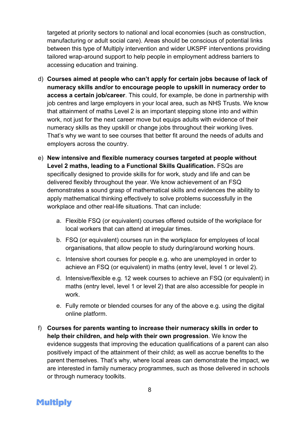targeted at priority sectors to national and local economies (such as construction, manufacturing or adult social care). Areas should be conscious of potential links between this type of Multiply intervention and wider UKSPF interventions providing tailored wrap-around support to help people in employment address barriers to accessing education and training.

- d) **Courses aimed at people who can't apply for certain jobs because of lack of numeracy skills and/or to encourage people to upskill in numeracy order to access a certain job/career**. This could, for example, be done in partnership with job centres and large employers in your local area, such as NHS Trusts. We know that attainment of maths Level 2 is an important stepping stone into and within work, not just for the next career move but equips adults with evidence of their numeracy skills as they upskill or change jobs throughout their working lives. That's why we want to see courses that better fit around the needs of adults and employers across the country.
- e) **New intensive and flexible numeracy courses targeted at people without Level 2 maths, leading to a Functional Skills Qualification.** FSQs are specifically designed to provide skills for for work, study and life and can be delivered flexibly throughout the year. We know achievement of an FSQ demonstrates a sound grasp of mathematical skills and evidences the ability to apply mathematical thinking effectively to solve problems successfully in the workplace and other real-life situations. That can include:
	- a. Flexible FSQ (or equivalent) courses offered outside of the workplace for local workers that can attend at irregular times.
	- b. FSQ (or equivalent) courses run in the workplace for employees of local organisations, that allow people to study during/around working hours.
	- c. Intensive short courses for people e.g. who are unemployed in order to achieve an FSQ (or equivalent) in maths (entry level, level 1 or level 2).
	- d. Intensive/flexible e.g. 12 week courses to achieve an FSQ (or equivalent) in maths (entry level, level 1 or level 2) that are also accessible for people in work.
	- e. Fully remote or blended courses for any of the above e.g. using the digital online platform.
- f) **Courses for parents wanting to increase their numeracy skills in order to help their children, and help with their own progression**. We know the evidence suggests that improving the education qualifications of a parent can also positively impact of the attainment of their child; as well as accrue benefits to the parent themselves. That's why, where local areas can demonstrate the impact, we are interested in family numeracy programmes, such as those delivered in schools or through numeracy toolkits.

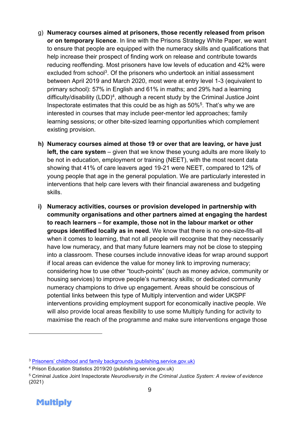- g) **Numeracy courses aimed at prisoners, those recently released from prison or on temporary licence**. In line with the Prisons Strategy White Paper, we want to ensure that people are equipped with the numeracy skills and qualifications that help increase their prospect of finding work on release and contribute towards reducing reoffending. Most prisoners have low levels of education and 42% were excluded from school<sup>3</sup>. Of the prisoners who undertook an initial assessment between April 2019 and March 2020, most were at entry level 1-3 (equivalent to primary school): 57% in English and 61% in maths; and 29% had a learning difficulty/disability (LDD)<sup>4</sup>, although a recent study by the Criminal Justice Joint Inspectorate estimates that this could be as high as 50%<sup>5</sup> . That's why we are interested in courses that may include peer-mentor led approaches; family learning sessions; or other bite-sized learning opportunities which complement existing provision.
- **h) Numeracy courses aimed at those 19 or over that are leaving, or have just left, the care system** – given that we know these young adults are more likely to be not in education, employment or training (NEET), with the most recent data showing that 41% of care leavers aged 19-21 were NEET, compared to 12% of young people that age in the general population. We are particularly interested in interventions that help care levers with their financial awareness and budgeting skills.
- **i) Numeracy activities, courses or provision developed in partnership with community organisations and other partners aimed at engaging the hardest to reach learners – for example, those not in the labour market or other groups identified locally as in need.** We know that there is no one-size-fits-all when it comes to learning, that not all people will recognise that they necessarily have low numeracy, and that many future learners may not be close to stepping into a classroom. These courses include innovative ideas for wrap around support if local areas can evidence the value for money link to improving numeracy; considering how to use other "touch-points" (such as money advice, community or housing services) to improve people's numeracy skills; or dedicated community numeracy champions to drive up engagement. Areas should be conscious of potential links between this type of Multiply intervention and wider UKSPF interventions providing employment support for economically inactive people. We will also provide local areas flexibility to use some Multiply funding for activity to maximise the reach of the programme and make sure interventions engage those

<sup>5</sup> Criminal Justice Joint Inspectorate *Neurodiversity in the Criminal Justice System: A review of evidence*  (2021)



<sup>3</sup> [Prisoners' childhood and family backgrounds \(publishing.service.gov.uk\)](https://assets.publishing.service.gov.uk/government/uploads/system/uploads/attachment_data/file/278837/prisoners-childhood-family-backgrounds.pdf)

<sup>4</sup> Prison Education Statistics 2019/20 (publishing.service.gov.uk)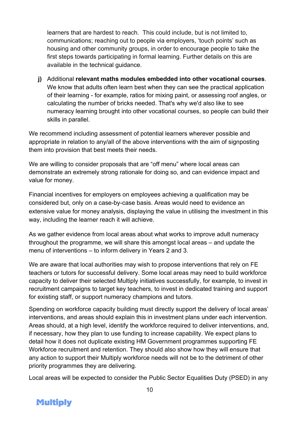learners that are hardest to reach. This could include, but is not limited to, communications; reaching out to people via employers, 'touch points' such as housing and other community groups, in order to encourage people to take the first steps towards participating in formal learning. Further details on this are available in the technical guidance.

**j)** Additional **relevant maths modules embedded into other vocational courses**. We know that adults often learn best when they can see the practical application of their learning - for example, ratios for mixing paint, or assessing roof angles, or calculating the number of bricks needed. That's why we'd also like to see numeracy learning brought into other vocational courses, so people can build their skills in parallel.

We recommend including assessment of potential learners wherever possible and appropriate in relation to any/all of the above interventions with the aim of signposting them into provision that best meets their needs.

We are willing to consider proposals that are "off menu" where local areas can demonstrate an extremely strong rationale for doing so, and can evidence impact and value for money.

Financial incentives for employers on employees achieving a qualification may be considered but, only on a case-by-case basis. Areas would need to evidence an extensive value for money analysis, displaying the value in utilising the investment in this way, including the learner reach it will achieve.

As we gather evidence from local areas about what works to improve adult numeracy throughout the programme, we will share this amongst local areas – and update the menu of interventions – to inform delivery in Years 2 and 3.

We are aware that local authorities may wish to propose interventions that rely on FE teachers or tutors for successful delivery. Some local areas may need to build workforce capacity to deliver their selected Multiply initiatives successfully, for example, to invest in recruitment campaigns to target key teachers, to invest in dedicated training and support for existing staff, or support numeracy champions and tutors.

Spending on workforce capacity building must directly support the delivery of local areas' interventions, and areas should explain this in investment plans under each intervention. Areas should, at a high level, identify the workforce required to deliver interventions, and, if necessary, how they plan to use funding to increase capability. We expect plans to detail how it does not duplicate existing HM Government programmes supporting FE Workforce recruitment and retention. They should also show how they will ensure that any action to support their Multiply workforce needs will not be to the detriment of other priority programmes they are delivering.

Local areas will be expected to consider the Public Sector Equalities Duty (PSED) in any

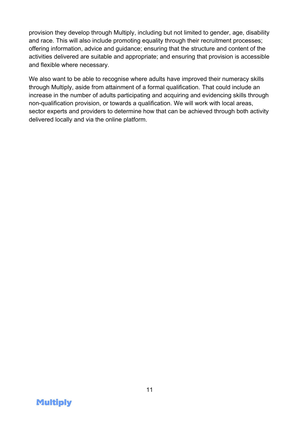provision they develop through Multiply, including but not limited to gender, age, disability and race. This will also include promoting equality through their recruitment processes; offering information, advice and guidance; ensuring that the structure and content of the activities delivered are suitable and appropriate; and ensuring that provision is accessible and flexible where necessary.

We also want to be able to recognise where adults have improved their numeracy skills through Multiply, aside from attainment of a formal qualification. That could include an increase in the number of adults participating and acquiring and evidencing skills through non-qualification provision, or towards a qualification. We will work with local areas, sector experts and providers to determine how that can be achieved through both activity delivered locally and via the online platform.

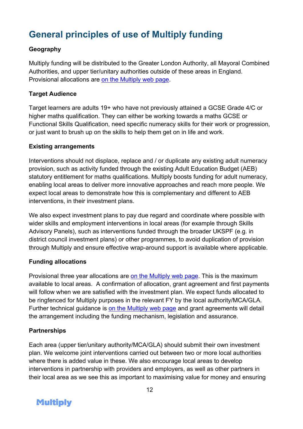## <span id="page-11-0"></span>**General principles of use of Multiply funding**

#### **Geography**

Multiply funding will be distributed to the Greater London Authority, all Mayoral Combined Authorities, and upper tier/unitary authorities outside of these areas in England. Provisional allocations are [on the Multiply web page.](https://www.gov.uk/government/publications/multiply-funding-available-to-improve-numeracy-skills.)

#### **Target Audience**

Target learners are adults 19+ who have not previously attained a GCSE Grade 4/C or higher maths qualification. They can either be working towards a maths GCSE or Functional Skills Qualification, need specific numeracy skills for their work or progression, or just want to brush up on the skills to help them get on in life and work.

#### **Existing arrangements**

Interventions should not displace, replace and / or duplicate any existing adult numeracy provision, such as activity funded through the existing Adult Education Budget (AEB) statutory entitlement for maths qualifications. Multiply boosts funding for adult numeracy, enabling local areas to deliver more innovative approaches and reach more people. We expect local areas to demonstrate how this is complementary and different to AEB interventions, in their investment plans.

We also expect investment plans to pay due regard and coordinate where possible with wider skills and employment interventions in local areas (for example through Skills Advisory Panels), such as interventions funded through the broader UKSPF (e.g. in district council investment plans) or other programmes, to avoid duplication of provision through Multiply and ensure effective wrap-around support is available where applicable.

#### **Funding allocations**

Provisional three year allocations are [on the Multiply web page.](https://www.gov.uk/government/publications/multiply-funding-available-to-improve-numeracy-skills.) This is the maximum available to local areas. A confirmation of allocation, grant agreement and first payments will follow when we are satisfied with the investment plan. We expect funds allocated to be ringfenced for Multiply purposes in the relevant FY by the local authority/MCA/GLA. Further technical guidance is [on the Multiply web page](https://www.gov.uk/government/publications/multiply-funding-available-to-improve-numeracy-skills.) and grant agreements will detail the arrangement including the funding mechanism, legislation and assurance.

#### **Partnerships**

Each area (upper tier/unitary authority/MCA/GLA) should submit their own investment plan. We welcome joint interventions carried out between two or more local authorities where there is added value in these. We also encourage local areas to develop interventions in partnership with providers and employers, as well as other partners in their local area as we see this as important to maximising value for money and ensuring

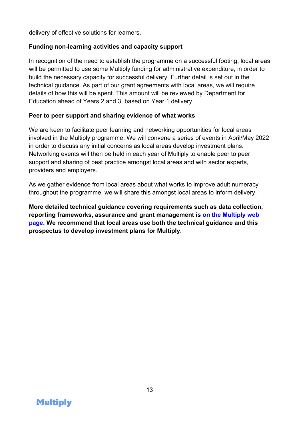delivery of effective solutions for learners.

#### **Funding non-learning activities and capacity support**

In recognition of the need to establish the programme on a successful footing, local areas will be permitted to use some Multiply funding for administrative expenditure, in order to build the necessary capacity for successful delivery. Further detail is set out in the technical guidance. As part of our grant agreements with local areas, we will require details of how this will be spent. This amount will be reviewed by Department for Education ahead of Years 2 and 3, based on Year 1 delivery.

#### **Peer to peer support and sharing evidence of what works**

We are keen to facilitate peer learning and networking opportunities for local areas involved in the Multiply programme. We will convene a series of events in April/May 2022 in order to discuss any initial concerns as local areas develop investment plans. Networking events will then be held in each year of Multiply to enable peer to peer support and sharing of best practice amongst local areas and with sector experts, providers and employers.

As we gather evidence from local areas about what works to improve adult numeracy throughout the programme, we will share this amongst local areas to inform delivery.

**More detailed technical guidance covering requirements such as data collection, reporting frameworks, assurance and grant management is [on the Multiply web](https://www.gov.uk/government/publications/multiply-funding-available-to-improve-numeracy-skills.)  [page.](https://www.gov.uk/government/publications/multiply-funding-available-to-improve-numeracy-skills.) We recommend that local areas use both the technical guidance and this prospectus to develop investment plans for Multiply.** 

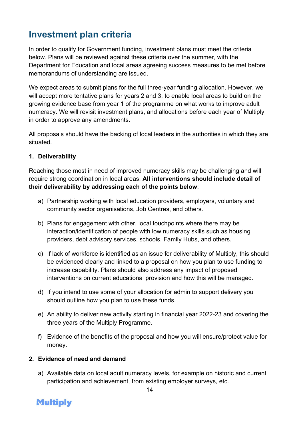## <span id="page-13-0"></span>**Investment plan criteria**

In order to qualify for Government funding, investment plans must meet the criteria below. Plans will be reviewed against these criteria over the summer, with the Department for Education and local areas agreeing success measures to be met before memorandums of understanding are issued.

We expect areas to submit plans for the full three-year funding allocation. However, we will accept more tentative plans for years 2 and 3, to enable local areas to build on the growing evidence base from year 1 of the programme on what works to improve adult numeracy. We will revisit investment plans, and allocations before each year of Multiply in order to approve any amendments.

All proposals should have the backing of local leaders in the authorities in which they are situated.

#### **1. Deliverability**

Reaching those most in need of improved numeracy skills may be challenging and will require strong coordination in local areas. **All interventions should include detail of their deliverability by addressing each of the points below**:

- a) Partnership working with local education providers, employers, voluntary and community sector organisations, Job Centres, and others.
- b) Plans for engagement with other, local touchpoints where there may be interaction/identification of people with low numeracy skills such as housing providers, debt advisory services, schools, Family Hubs, and others.
- c) If lack of workforce is identified as an issue for deliverability of Multiply, this should be evidenced clearly and linked to a proposal on how you plan to use funding to increase capability. Plans should also address any impact of proposed interventions on current educational provision and how this will be managed.
- d) If you intend to use some of your allocation for admin to support delivery you should outline how you plan to use these funds.
- e) An ability to deliver new activity starting in financial year 2022-23 and covering the three years of the Multiply Programme.
- f) Evidence of the benefits of the proposal and how you will ensure/protect value for money.

#### **2. Evidence of need and demand**

a) Available data on local adult numeracy levels, for example on historic and current participation and achievement, from existing employer surveys, etc.

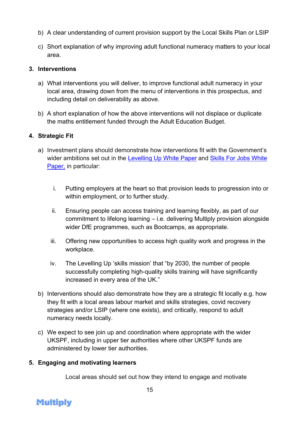- b) A clear understanding of current provision support by the Local Skills Plan or LSIP
- c) Short explanation of why improving adult functional numeracy matters to your local area.

#### **3. Interventions**

- a) What interventions you will deliver, to improve functional adult numeracy in your local area, drawing down from the menu of interventions in this prospectus, and including detail on deliverability as above.
- b) A short explanation of how the above interventions will not displace or duplicate the maths entitlement funded through the Adult Education Budget.

#### **4. Strategic Fit**

- a) Investment plans should demonstrate how interventions fit with the Government's wider ambitions set out in the [Levelling Up White Paper](https://www.gov.uk/government/publications/levelling-up-the-united-kingdom) and Skills For Jobs White [Paper,](https://www.gov.uk/government/publications/skills-for-jobs-lifelong-learning-for-opportunity-and-growth) in particular:
	- i. Putting employers at the heart so that provision leads to progression into or within employment, or to further study.
	- ii. Ensuring people can access training and learning flexibly, as part of our commitment to lifelong learning – i.e. delivering Multiply provision alongside wider DfE programmes, such as Bootcamps, as appropriate.
	- iii. Offering new opportunities to access high quality work and progress in the workplace.
	- iv. The Levelling Up 'skills mission' that "by 2030, the number of people successfully completing high-quality skills training will have significantly increased in every area of the UK."
- b) Interventions should also demonstrate how they are a strategic fit locally e.g. how they fit with a local areas labour market and skills strategies, covid recovery strategies and/or LSIP (where one exists), and critically, respond to adult numeracy needs locally.
- c) We expect to see join up and coordination where appropriate with the wider UKSPF, including in upper tier authorities where other UKSPF funds are administered by lower tier authorities.

#### **5. Engaging and motivating learners**

Local areas should set out how they intend to engage and motivate

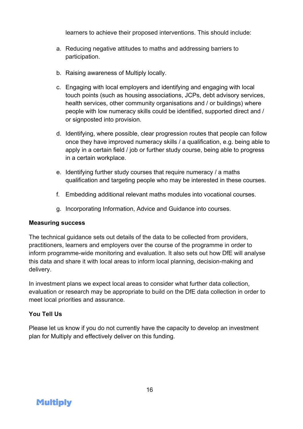learners to achieve their proposed interventions. This should include:

- a. Reducing negative attitudes to maths and addressing barriers to participation.
- b. Raising awareness of Multiply locally.
- c. Engaging with local employers and identifying and engaging with local touch points (such as housing associations, JCPs, debt advisory services, health services, other community organisations and / or buildings) where people with low numeracy skills could be identified, supported direct and / or signposted into provision.
- d. Identifying, where possible, clear progression routes that people can follow once they have improved numeracy skills / a qualification, e.g. being able to apply in a certain field / job or further study course, being able to progress in a certain workplace.
- e. Identifying further study courses that require numeracy / a maths qualification and targeting people who may be interested in these courses.
- f. Embedding additional relevant maths modules into vocational courses.
- g. Incorporating Information, Advice and Guidance into courses.

#### **Measuring success**

The technical guidance sets out details of the data to be collected from providers, practitioners, learners and employers over the course of the programme in order to inform programme-wide monitoring and evaluation. It also sets out how DfE will analyse this data and share it with local areas to inform local planning, decision-making and delivery.

In investment plans we expect local areas to consider what further data collection, evaluation or research may be appropriate to build on the DfE data collection in order to meet local priorities and assurance.

#### **You Tell Us**

Please let us know if you do not currently have the capacity to develop an investment plan for Multiply and effectively deliver on this funding.

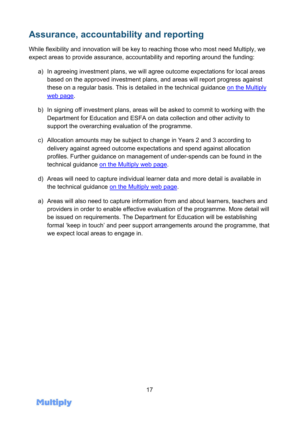## <span id="page-16-0"></span>**Assurance, accountability and reporting**

While flexibility and innovation will be key to reaching those who most need Multiply, we expect areas to provide assurance, accountability and reporting around the funding:

- a) In agreeing investment plans, we will agree outcome expectations for local areas based on the approved investment plans, and areas will report progress against these on a regular basis. This is detailed in the technical guidance [on the Multiply](https://www.gov.uk/government/publications/multiply-funding-available-to-improve-numeracy-skills.)  [web page.](https://www.gov.uk/government/publications/multiply-funding-available-to-improve-numeracy-skills.)
- b) In signing off investment plans, areas will be asked to commit to working with the Department for Education and ESFA on data collection and other activity to support the overarching evaluation of the programme.
- c) Allocation amounts may be subject to change in Years 2 and 3 according to delivery against agreed outcome expectations and spend against allocation profiles. Further guidance on management of under-spends can be found in the technical guidance [on the Multiply web page.](https://www.gov.uk/government/publications/multiply-funding-available-to-improve-numeracy-skills.)
- d) Areas will need to capture individual learner data and more detail is available in the technical guidance [on the Multiply web page.](https://www.gov.uk/government/publications/multiply-funding-available-to-improve-numeracy-skills.)
- a) Areas will also need to capture information from and about learners, teachers and providers in order to enable effective evaluation of the programme. More detail will be issued on requirements. The Department for Education will be establishing formal 'keep in touch' and peer support arrangements around the programme, that we expect local areas to engage in.

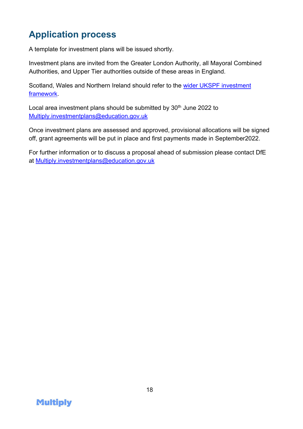## <span id="page-17-0"></span>**Application process**

A template for investment plans will be issued shortly.

Investment plans are invited from the Greater London Authority, all Mayoral Combined Authorities, and Upper Tier authorities outside of these areas in England.

Scotland, Wales and Northern Ireland should refer to the wider UKSPF investment [framework.](https://www.gov.uk/government/publications/uk-shared-prosperity-fund-prospectus)

Local area investment plans should be submitted by  $30<sup>th</sup>$  June 2022 to [Multiply.investmentplans@education.gov.uk](mailto:Multiply.investmentplans@education.gov.uk)

Once investment plans are assessed and approved, provisional allocations will be signed off, grant agreements will be put in place and first payments made in September2022.

For further information or to discuss a proposal ahead of submission please contact DfE at [Multiply.investmentplans@education.gov.uk](mailto:Multiply.investmentplans@education.gov.uk)